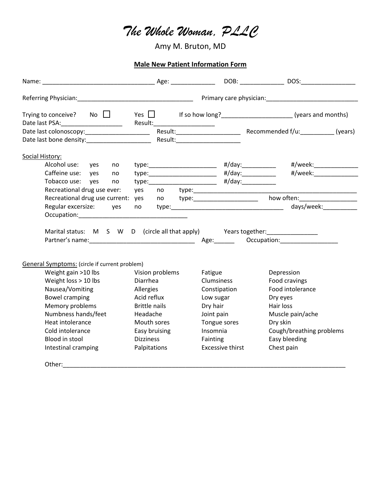## *The Whole Woman, PLLC*

Amy M. Bruton, MD

**Male New Patient Information Form**

|                                                                                  |                                                      |                                   | DOB: DOS:                                                                             |
|----------------------------------------------------------------------------------|------------------------------------------------------|-----------------------------------|---------------------------------------------------------------------------------------|
|                                                                                  |                                                      |                                   |                                                                                       |
|                                                                                  |                                                      |                                   | Trying to conceive? No $\Box$ Yes $\Box$ If so how long?<br>If so how long?<br>$\Box$ |
|                                                                                  |                                                      |                                   |                                                                                       |
|                                                                                  |                                                      |                                   |                                                                                       |
| Social History:                                                                  |                                                      |                                   |                                                                                       |
| Alcohol use: yes<br>no                                                           | type:____________________________ #/day:____________ |                                   | #/week:________________                                                               |
| Caffeine use: yes<br>no                                                          |                                                      |                                   | #/week:________________                                                               |
| Tobacco use: yes<br>no                                                           |                                                      |                                   |                                                                                       |
| Recreational drug use ever:                                                      | yes                                                  | no type:_________________________ |                                                                                       |
| Recreational drug use current: yes                                               |                                                      |                                   |                                                                                       |
| Regular excersize: yes                                                           | no                                                   |                                   | days/week:___________                                                                 |
|                                                                                  |                                                      |                                   |                                                                                       |
| Marital status: M S W D (circle all that apply) Years together: ________________ |                                                      |                                   |                                                                                       |
| General Symptoms: (circle if current problem)                                    |                                                      |                                   |                                                                                       |
| Weight gain >10 lbs                                                              | Vision problems                                      | Fatigue                           | Depression                                                                            |
| Weight loss > 10 lbs                                                             | Diarrhea                                             | Clumsiness                        | Food cravings                                                                         |
| Nausea/Vomiting                                                                  | Allergies                                            | Constipation                      | Food intolerance                                                                      |
| <b>Bowel cramping</b>                                                            | Acid reflux                                          | Low sugar                         | Dry eyes                                                                              |
| Memory problems                                                                  | <b>Brittle nails</b>                                 | Dry hair                          | Hair loss                                                                             |
| Numbness hands/feet                                                              | Headache                                             | Joint pain                        | Muscle pain/ache                                                                      |
| Heat intolerance                                                                 | Mouth sores                                          | Tongue sores                      | Dry skin                                                                              |
| Cold intolerance                                                                 | Easy bruising                                        | Insomnia                          | Cough/breathing problems                                                              |
| Blood in stool                                                                   | <b>Dizziness</b>                                     | Fainting                          | Easy bleeding                                                                         |
| Intestinal cramping                                                              | Palpitations                                         | <b>Excessive thirst</b>           | Chest pain                                                                            |
| Other:                                                                           |                                                      |                                   |                                                                                       |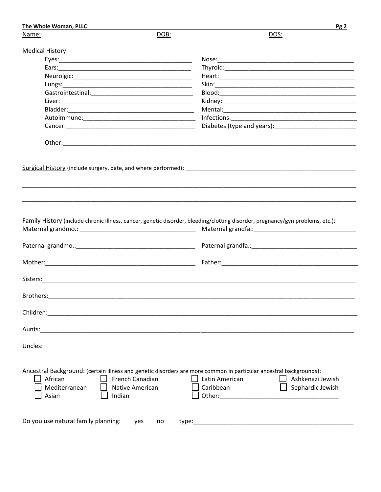| The Whole Woman, PLLC               |           |                                                                                                                               | Pg2 |
|-------------------------------------|-----------|-------------------------------------------------------------------------------------------------------------------------------|-----|
| Name:                               | DOB:      | DOS:                                                                                                                          |     |
| <b>Medical History:</b>             |           |                                                                                                                               |     |
|                                     |           |                                                                                                                               |     |
|                                     |           |                                                                                                                               |     |
|                                     |           |                                                                                                                               |     |
|                                     |           |                                                                                                                               |     |
|                                     |           |                                                                                                                               |     |
|                                     |           |                                                                                                                               |     |
|                                     |           |                                                                                                                               |     |
|                                     |           |                                                                                                                               |     |
|                                     |           | Diabetes (type and years): Notified that the set of the set of the set of the set of the set of the set of the                |     |
|                                     |           |                                                                                                                               |     |
|                                     |           |                                                                                                                               |     |
|                                     |           |                                                                                                                               |     |
|                                     |           |                                                                                                                               |     |
|                                     |           |                                                                                                                               |     |
|                                     |           |                                                                                                                               |     |
|                                     |           |                                                                                                                               |     |
|                                     |           |                                                                                                                               |     |
|                                     |           |                                                                                                                               |     |
|                                     |           | Family History (include chronic illness, cancer, genetic disorder, bleeding/clotting disorder, pregnancy/gyn problems, etc.): |     |
|                                     |           |                                                                                                                               |     |
|                                     |           |                                                                                                                               |     |
|                                     |           |                                                                                                                               |     |
|                                     |           |                                                                                                                               |     |
|                                     |           |                                                                                                                               |     |
|                                     |           |                                                                                                                               |     |
|                                     |           |                                                                                                                               |     |
| Brothers:                           |           |                                                                                                                               |     |
|                                     |           |                                                                                                                               |     |
|                                     |           |                                                                                                                               |     |
|                                     |           |                                                                                                                               |     |
|                                     |           |                                                                                                                               |     |
|                                     |           |                                                                                                                               |     |
|                                     |           |                                                                                                                               |     |
|                                     |           |                                                                                                                               |     |
|                                     |           |                                                                                                                               |     |
|                                     |           |                                                                                                                               |     |
|                                     |           | Ancestral Background: (certain illness and genetic disorders are more common in particular ancestral backgrounds):            |     |
| French Canadian<br>African          |           | Latin American<br>Ashkenazi Jewish                                                                                            |     |
| Mediterranean<br>Native American    |           | Caribbean<br>Sephardic Jewish<br>$\Box$                                                                                       |     |
| Asian<br>Indian                     |           |                                                                                                                               |     |
|                                     |           |                                                                                                                               |     |
|                                     |           |                                                                                                                               |     |
| Do you use natural family planning: | yes<br>no |                                                                                                                               |     |
|                                     |           |                                                                                                                               |     |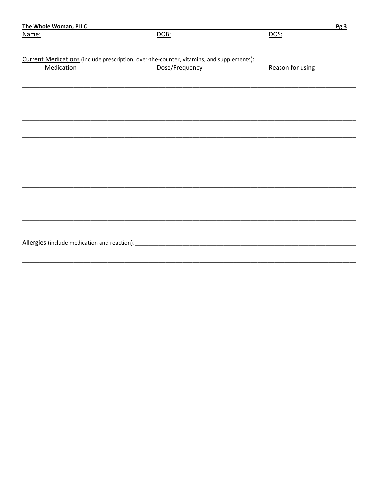| DOS:<br>DOB:<br>Name:<br>Current Medications (include prescription, over-the-counter, vitamins, and supplements):<br>Medication<br>Dose/Frequency<br>Reason for using | <u>Pg 3</u> |
|-----------------------------------------------------------------------------------------------------------------------------------------------------------------------|-------------|
|                                                                                                                                                                       |             |
|                                                                                                                                                                       |             |
|                                                                                                                                                                       |             |
|                                                                                                                                                                       |             |
|                                                                                                                                                                       |             |
|                                                                                                                                                                       |             |
|                                                                                                                                                                       |             |
|                                                                                                                                                                       |             |
|                                                                                                                                                                       |             |
|                                                                                                                                                                       |             |
|                                                                                                                                                                       |             |
|                                                                                                                                                                       |             |
|                                                                                                                                                                       |             |
|                                                                                                                                                                       |             |
|                                                                                                                                                                       |             |
|                                                                                                                                                                       |             |
|                                                                                                                                                                       |             |
|                                                                                                                                                                       |             |
|                                                                                                                                                                       |             |
|                                                                                                                                                                       |             |
|                                                                                                                                                                       |             |
|                                                                                                                                                                       |             |
|                                                                                                                                                                       |             |
|                                                                                                                                                                       |             |
|                                                                                                                                                                       |             |
|                                                                                                                                                                       |             |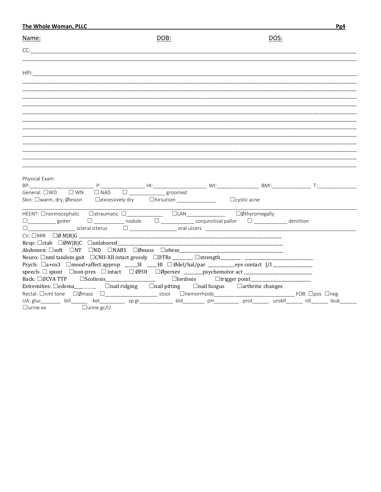| <b>The Whole Woman, PLLC</b>                                                                                                                                                                                                  |                                                                                                                                                                                                                                |      |             | <u>Pg4</u> |
|-------------------------------------------------------------------------------------------------------------------------------------------------------------------------------------------------------------------------------|--------------------------------------------------------------------------------------------------------------------------------------------------------------------------------------------------------------------------------|------|-------------|------------|
| Name:                                                                                                                                                                                                                         |                                                                                                                                                                                                                                | DOB: | <u>DOS:</u> |            |
| CC:                                                                                                                                                                                                                           |                                                                                                                                                                                                                                |      |             |            |
|                                                                                                                                                                                                                               |                                                                                                                                                                                                                                |      |             |            |
|                                                                                                                                                                                                                               |                                                                                                                                                                                                                                |      |             |            |
|                                                                                                                                                                                                                               |                                                                                                                                                                                                                                |      |             |            |
|                                                                                                                                                                                                                               |                                                                                                                                                                                                                                |      |             |            |
|                                                                                                                                                                                                                               |                                                                                                                                                                                                                                |      |             |            |
|                                                                                                                                                                                                                               |                                                                                                                                                                                                                                |      |             |            |
|                                                                                                                                                                                                                               |                                                                                                                                                                                                                                |      |             |            |
| Physical Exam:                                                                                                                                                                                                                | Decree to the Human Miller of the Miller Miller of the Miller Miller of the Miller of the Miller of the Miller of the Miller of the Miller of the Miller of the Miller of the Miller of the Miller of the Miller of the Miller |      |             |            |
| General: $\square$ WD $\square$ WN $\square$ NAD $\square$ aroomed                                                                                                                                                            |                                                                                                                                                                                                                                |      |             |            |
| HEENT: Onormocephalic Catraumatic D______________ DLAN______________ DØthyromegally<br>$\square$ goiter $\square$ nodule $\square$ conjunctival pallor $\square$ dentition                                                    |                                                                                                                                                                                                                                |      |             |            |
| $CV: \square RRR \square \emptyset M   R   G$<br>Neuro: □nml tandem gait □CNII-XII intact grossly □DTRs _______ □strength_______ ___________________                                                                          |                                                                                                                                                                                                                                |      |             |            |
| speech- □ spont □ non-pres □ intact □ ØFOI □ Øpersev _______psychomotor act ______________________                                                                                                                            |                                                                                                                                                                                                                                |      |             |            |
| Back: □ØCVA TTP   □Scoliosis _________________________    □lordosis     □trigger point____________<br>Extremities: $\Box$ edema__________ $\Box$ nail ridging $\Box$ nail pitting $\Box$ nail fungus $\Box$ arthritic changes |                                                                                                                                                                                                                                |      |             |            |
| UA: gluc_______ bill______ ket__________ sp gr____________ bld_________ pH_________ prot______ urobll______ nlt______ leuk_____<br>$\Box$ urine ex $\Box$ urine gc/cl                                                         |                                                                                                                                                                                                                                |      |             |            |